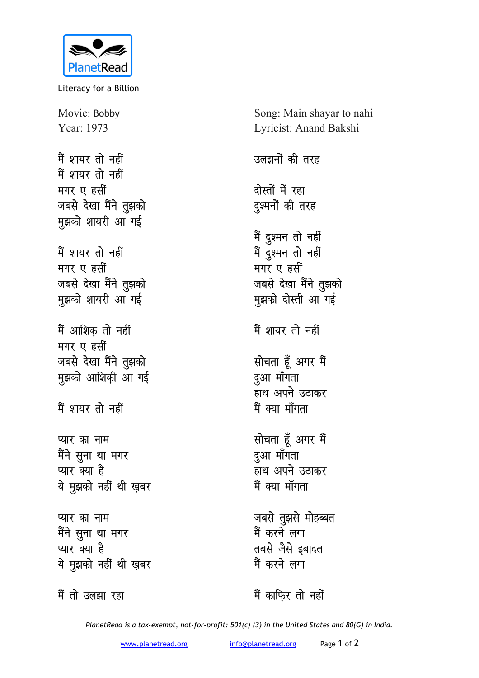

Literacy for a Billion

Movie: Bobby Year: 1973

मैं शायर तो नहीं मैं शायर तो नहीं **मगर ए हसीं** जबसे देखा मैंने तुझको **मुझको शायरी आ गई** 

मैं शायर तो नहीं **मगर ए हसीं** जबसे देखा मैंने तुझको मुझको शायरी आ<sup>ं</sup>गई

मैं आशिक तो नहीं **मगर ए** हसीं जबसे देखा मैंने तुझको मुझको आशिकी आ गई

मैं शायर तो नहीं

**प्यार का नाम** मैंने सुना था मगर प्यार क्या है ये मुझको नहीं थी ख़बर

**प्यार का नाम** <u>मैंने स</u>ुना था मगर प्यार क्या है ये मुझको नहीं थी ख़बर

Song: Main shayar to nahi Lyricist: Anand Bakshi उलझनों की तरह <u>दोस्तों में रहा</u> दुश्मनों की तरह मैं दुश्मन तो नहीं मैं <u>द</u>ुश्मन तो नहीं **मगर ए हसीं** जबसे देखा मैंने तुझको मुझको दोस्ती आ<sup>ँ</sup>गई मैं शायर तो नहीं **सोचता हूँ अगर मैं** <u>दुआ मॉॅंगता</u> हाथ अपने उठाकर मैं क्या माँगता **सोचता हूँ अगर मैं** दुआ माँगता हाथ अपने उठाकर मैं क्या माँगता जबसे तुझसे मोहब्बत मैं करने लगा तबसे जैसे इबादत मैं करने लगा

मैं तो उलझा रहा

मैं काफिर तो नहीं

*PlanetRead is a tax-exempt, not-for-profit: 501(c) (3) in the United States and 80(G) in India.*